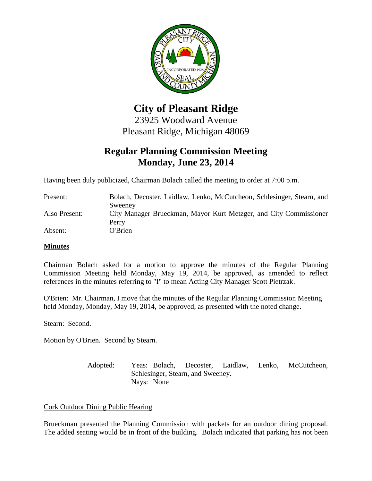

**City of Pleasant Ridge**

23925 Woodward Avenue Pleasant Ridge, Michigan 48069

# **Regular Planning Commission Meeting Monday, June 23, 2014**

Having been duly publicized, Chairman Bolach called the meeting to order at 7:00 p.m.

| Present:      | Bolach, Decoster, Laidlaw, Lenko, McCutcheon, Schlesinger, Stearn, and |
|---------------|------------------------------------------------------------------------|
|               | Sweeney                                                                |
| Also Present: | City Manager Brueckman, Mayor Kurt Metzger, and City Commissioner      |
|               | Perry                                                                  |
| Absent:       | O'Brien                                                                |

## **Minutes**

Chairman Bolach asked for a motion to approve the minutes of the Regular Planning Commission Meeting held Monday, May 19, 2014, be approved, as amended to reflect references in the minutes referring to "I" to mean Acting City Manager Scott Pietrzak.

O'Brien: Mr. Chairman, I move that the minutes of the Regular Planning Commission Meeting held Monday, Monday, May 19, 2014, be approved, as presented with the noted change.

Stearn: Second.

Motion by O'Brien. Second by Stearn.

Adopted: Yeas: Bolach, Decoster, Laidlaw, Lenko, McCutcheon, Schlesinger, Stearn, and Sweeney. Nays: None

## Cork Outdoor Dining Public Hearing

Brueckman presented the Planning Commission with packets for an outdoor dining proposal. The added seating would be in front of the building. Bolach indicated that parking has not been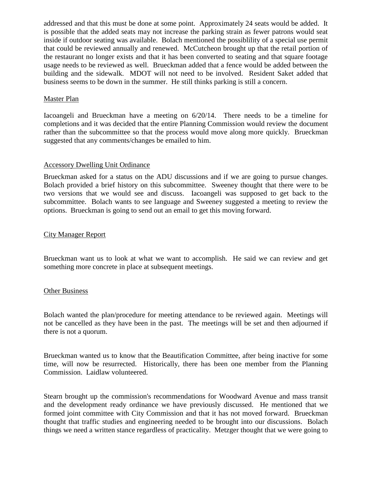addressed and that this must be done at some point. Approximately 24 seats would be added. It is possible that the added seats may not increase the parking strain as fewer patrons would seat inside if outdoor seating was available. Bolach mentioned the possiblility of a special use permit that could be reviewed annually and renewed. McCutcheon brought up that the retail portion of the restaurant no longer exists and that it has been converted to seating and that square footage usage needs to be reviewed as well. Brueckman added that a fence would be added between the building and the sidewalk. MDOT will not need to be involved. Resident Saket added that business seems to be down in the summer. He still thinks parking is still a concern.

### Master Plan

Iacoangeli and Brueckman have a meeting on 6/20/14. There needs to be a timeline for completions and it was decided that the entire Planning Commission would review the document rather than the subcommittee so that the process would move along more quickly. Brueckman suggested that any comments/changes be emailed to him.

### Accessory Dwelling Unit Ordinance

Brueckman asked for a status on the ADU discussions and if we are going to pursue changes. Bolach provided a brief history on this subcommittee. Sweeney thought that there were to be two versions that we would see and discuss. Iacoangeli was supposed to get back to the subcommittee. Bolach wants to see language and Sweeney suggested a meeting to review the options. Brueckman is going to send out an email to get this moving forward.

### City Manager Report

Brueckman want us to look at what we want to accomplish. He said we can review and get something more concrete in place at subsequent meetings.

### **Other Business**

Bolach wanted the plan/procedure for meeting attendance to be reviewed again. Meetings will not be cancelled as they have been in the past. The meetings will be set and then adjourned if there is not a quorum.

Brueckman wanted us to know that the Beautification Committee, after being inactive for some time, will now be resurrected. Historically, there has been one member from the Planning Commission. Laidlaw volunteered.

Stearn brought up the commission's recommendations for Woodward Avenue and mass transit and the development ready ordinance we have previously discussed. He mentioned that we formed joint committee with City Commission and that it has not moved forward. Brueckman thought that traffic studies and engineering needed to be brought into our discussions. Bolach things we need a written stance regardless of practicality. Metzger thought that we were going to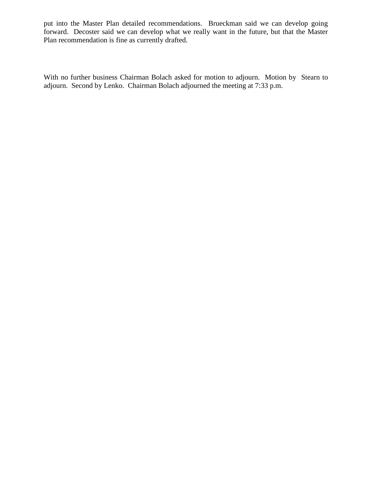put into the Master Plan detailed recommendations. Brueckman said we can develop going forward. Decoster said we can develop what we really want in the future, but that the Master Plan recommendation is fine as currently drafted.

With no further business Chairman Bolach asked for motion to adjourn. Motion by Stearn to adjourn. Second by Lenko. Chairman Bolach adjourned the meeting at 7:33 p.m.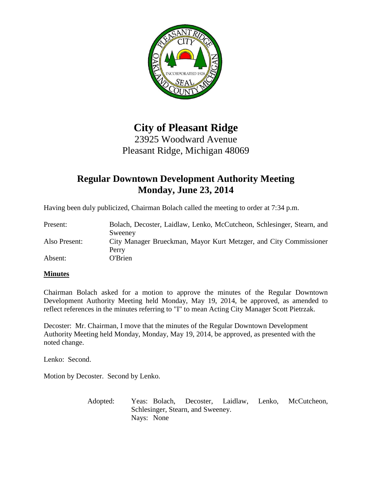

# **City of Pleasant Ridge**

23925 Woodward Avenue Pleasant Ridge, Michigan 48069

# **Regular Downtown Development Authority Meeting Monday, June 23, 2014**

Having been duly publicized, Chairman Bolach called the meeting to order at 7:34 p.m.

Present: Bolach, Decoster, Laidlaw, Lenko, McCutcheon, Schlesinger, Stearn, and Sweeney Also Present: City Manager Brueckman, Mayor Kurt Metzger, and City Commissioner Perry Absent: O'Brien

## **Minutes**

Chairman Bolach asked for a motion to approve the minutes of the Regular Downtown Development Authority Meeting held Monday, May 19, 2014, be approved, as amended to reflect references in the minutes referring to "I" to mean Acting City Manager Scott Pietrzak.

Decoster: Mr. Chairman, I move that the minutes of the Regular Downtown Development Authority Meeting held Monday, Monday, May 19, 2014, be approved, as presented with the noted change.

Lenko: Second.

Motion by Decoster. Second by Lenko.

Adopted: Yeas: Bolach, Decoster, Laidlaw, Lenko, McCutcheon, Schlesinger, Stearn, and Sweeney. Nays: None